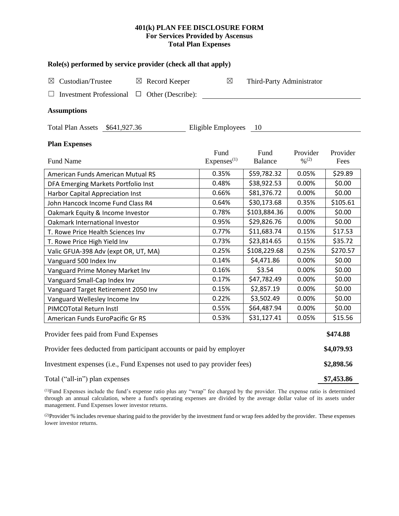# **401(k) PLAN FEE DISCLOSURE FORM For Services Provided by Ascensus Total Plan Expenses**

| Role(s) performed by service provider (check all that apply)            |                                |                           |                                          |                  |  |  |  |  |
|-------------------------------------------------------------------------|--------------------------------|---------------------------|------------------------------------------|------------------|--|--|--|--|
| Custodian/Trustee<br>$\boxtimes$ Record Keeper<br>$\boxtimes$           | ⊠                              | Third-Party Administrator |                                          |                  |  |  |  |  |
| <b>Investment Professional</b><br>$\Box$ Other (Describe):<br>⊔         |                                |                           |                                          |                  |  |  |  |  |
| <b>Assumptions</b>                                                      |                                |                           |                                          |                  |  |  |  |  |
| Total Plan Assets \$641,927.36                                          | Eligible Employees             | 10                        |                                          |                  |  |  |  |  |
| <b>Plan Expenses</b>                                                    |                                |                           |                                          |                  |  |  |  |  |
| <b>Fund Name</b>                                                        | Fund<br>Express <sup>(1)</sup> | Fund<br><b>Balance</b>    | Provider<br>$\frac{0}{2}$ <sup>(2)</sup> | Provider<br>Fees |  |  |  |  |
| American Funds American Mutual RS                                       | 0.35%                          | \$59,782.32               | 0.05%                                    | \$29.89          |  |  |  |  |
| DFA Emerging Markets Portfolio Inst                                     | 0.48%                          | \$38,922.53               | 0.00%                                    | \$0.00           |  |  |  |  |
| Harbor Capital Appreciation Inst                                        | 0.66%                          | \$81,376.72               | 0.00%                                    | \$0.00           |  |  |  |  |
| John Hancock Income Fund Class R4                                       | 0.64%                          | \$30,173.68               | 0.35%                                    | \$105.61         |  |  |  |  |
| Oakmark Equity & Income Investor                                        | 0.78%                          | \$103,884.36              | 0.00%                                    | \$0.00           |  |  |  |  |
| Oakmark International Investor                                          | 0.95%                          | \$29,826.76               | 0.00%                                    | \$0.00           |  |  |  |  |
| T. Rowe Price Health Sciences Inv                                       | 0.77%                          | \$11,683.74               | 0.15%                                    | \$17.53          |  |  |  |  |
| T. Rowe Price High Yield Inv                                            | 0.73%                          | \$23,814.65               | 0.15%                                    | \$35.72          |  |  |  |  |
| Valic GFUA-398 Adv (expt OR, UT, MA)                                    | 0.25%                          | \$108,229.68              | 0.25%                                    | \$270.57         |  |  |  |  |
| Vanguard 500 Index Inv                                                  | 0.14%                          | \$4,471.86                | 0.00%                                    | \$0.00           |  |  |  |  |
| Vanguard Prime Money Market Inv                                         | 0.16%                          | \$3.54                    | 0.00%                                    | \$0.00           |  |  |  |  |
| Vanguard Small-Cap Index Inv                                            | 0.17%                          | \$47,782.49               | 0.00%                                    | \$0.00           |  |  |  |  |
| Vanguard Target Retirement 2050 Inv                                     | 0.15%                          | \$2,857.19                | 0.00%                                    | \$0.00           |  |  |  |  |
| Vanguard Wellesley Income Inv                                           | 0.22%                          | \$3,502.49                | 0.00%                                    | \$0.00           |  |  |  |  |
| PIMCOTotal Return Instl                                                 | 0.55%                          | \$64,487.94               | 0.00%                                    | \$0.00           |  |  |  |  |
| American Funds EuroPacific Gr RS                                        | 0.53%                          | \$31,127.41               | 0.05%                                    | \$15.56          |  |  |  |  |
| Provider fees paid from Fund Expenses                                   |                                |                           |                                          |                  |  |  |  |  |
| Provider fees deducted from participant accounts or paid by employer    |                                |                           |                                          |                  |  |  |  |  |
| Investment expenses (i.e., Fund Expenses not used to pay provider fees) |                                |                           |                                          |                  |  |  |  |  |
| Total ("all-in") plan expenses                                          |                                |                           |                                          |                  |  |  |  |  |

(1)Fund Expenses include the fund's expense ratio plus any "wrap" fee charged by the provider. The expense ratio is determined through an annual calculation, where a fund's operating expenses are divided by the average dollar value of its assets under management. Fund Expenses lower investor returns.

<sup>(2)</sup>Provider % includes revenue sharing paid to the provider by the investment fund or wrap fees added by the provider. These expenses lower investor returns.